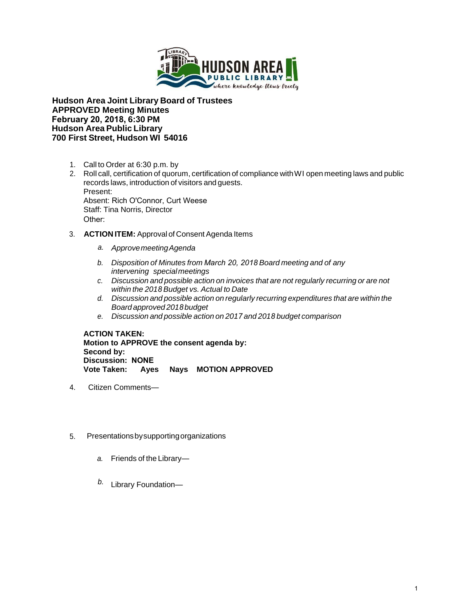

**Hudson Area Joint Library Board of Trustees APPROVED Meeting Minutes February 20, 2018, 6:30 PM Hudson Area Public Library 700 First Street, Hudson WI 54016**

- 1. Call to Order at 6:30 p.m. by
- 2. Roll call, certification of quorum, certification of compliance with WI open meeting laws and public records laws, introduction of visitors and guests. Present: Absent: Rich O'Connor, Curt Weese Staff: Tina Norris, Director Other:
- 3. **ACTION ITEM:** Approval of Consent Agenda Items
	- *a. Approve meeting Agenda*
	- *b. Disposition of Minutes from March 20, 2018 Board meeting and of any intervening special meetings*
	- *c. Discussion and possible action on invoices that are not regularly recurring or are not within the 2018 Budget vs. Actual to Date*
	- *d. Discussion and possible action on regularly recurring expenditures that are within the Board approved 2018 budget*
	- *e. Discussion and possible action on 2017 and 2018 budget comparison*

**ACTION TAKEN: Motion to APPROVE the consent agenda by: Second by: Discussion: NONE Ayes Nays MOTION APPROVED** 

- 4. Citizen Comments—
- 5. Presentations by supporting organizations
	- *a.* Friends of the Library—
	- *b.* Library Foundation—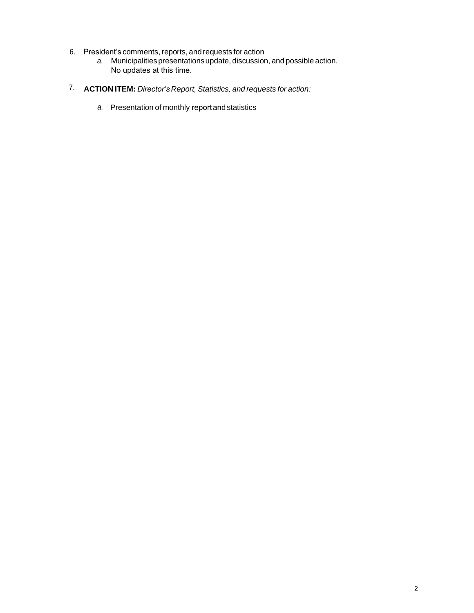- 6. President's comments,reports, and requests for action
	- *a.* Municipalities presentations update, discussion, and possible action. No updates at this time.
- 7. **ACTION ITEM:** *Director's Report, Statistics, and requests for action:* 
	- *a.* Presentation of monthly report and statistics